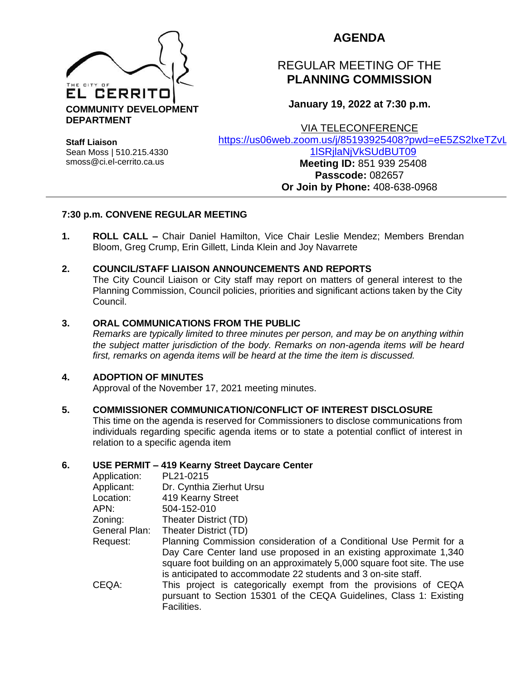

## **AGENDA**

# REGULAR MEETING OF THE **PLANNING COMMISSION**

**January 19, 2022 at 7:30 p.m.**

VIA TELECONFERENCE

**Staff Liaison** Sean Moss | 510.215.4330 smoss@ci.el-cerrito.ca.us

[https://us06web.zoom.us/j/85193925408?pwd=eE5ZS2lxeTZvL](https://us06web.zoom.us/j/85193925408?pwd=eE5ZS2lxeTZvL1lSRjlaNjVkSUdBUT09)

### [1lSRjlaNjVkSUdBUT09](https://us06web.zoom.us/j/85193925408?pwd=eE5ZS2lxeTZvL1lSRjlaNjVkSUdBUT09) **Meeting ID:** 851 939 25408 **Passcode:** 082657 **Or Join by Phone:** 408-638-0968

## **7:30 p.m. CONVENE REGULAR MEETING**

**1. ROLL CALL –** Chair Daniel Hamilton, Vice Chair Leslie Mendez; Members Brendan Bloom, Greg Crump, Erin Gillett, Linda Klein and Joy Navarrete

## **2. COUNCIL/STAFF LIAISON ANNOUNCEMENTS AND REPORTS**

The City Council Liaison or City staff may report on matters of general interest to the Planning Commission, Council policies, priorities and significant actions taken by the City Council.

### **3. ORAL COMMUNICATIONS FROM THE PUBLIC**

*Remarks are typically limited to three minutes per person, and may be on anything within the subject matter jurisdiction of the body. Remarks on non-agenda items will be heard first, remarks on agenda items will be heard at the time the item is discussed.* 

## **4. ADOPTION OF MINUTES**

Approval of the November 17, 2021 meeting minutes.

#### **5. COMMISSIONER COMMUNICATION/CONFLICT OF INTEREST DISCLOSURE**

This time on the agenda is reserved for Commissioners to disclose communications from individuals regarding specific agenda items or to state a potential conflict of interest in relation to a specific agenda item

#### **6. USE PERMIT – 419 Kearny Street Daycare Center**

| Application:  | PL21-0215                                                                                                                                                                                                                                                                               |
|---------------|-----------------------------------------------------------------------------------------------------------------------------------------------------------------------------------------------------------------------------------------------------------------------------------------|
| Applicant:    | Dr. Cynthia Zierhut Ursu                                                                                                                                                                                                                                                                |
| Location:     | 419 Kearny Street                                                                                                                                                                                                                                                                       |
| APN:          | 504-152-010                                                                                                                                                                                                                                                                             |
| Zoning:       | Theater District (TD)                                                                                                                                                                                                                                                                   |
| General Plan: | Theater District (TD)                                                                                                                                                                                                                                                                   |
| Request:      | Planning Commission consideration of a Conditional Use Permit for a<br>Day Care Center land use proposed in an existing approximate 1,340<br>square foot building on an approximately 5,000 square foot site. The use<br>is anticipated to accommodate 22 students and 3 on-site staff. |
| CEQA:         | This project is categorically exempt from the provisions of CEQA<br>pursuant to Section 15301 of the CEQA Guidelines, Class 1: Existing<br>Facilities.                                                                                                                                  |